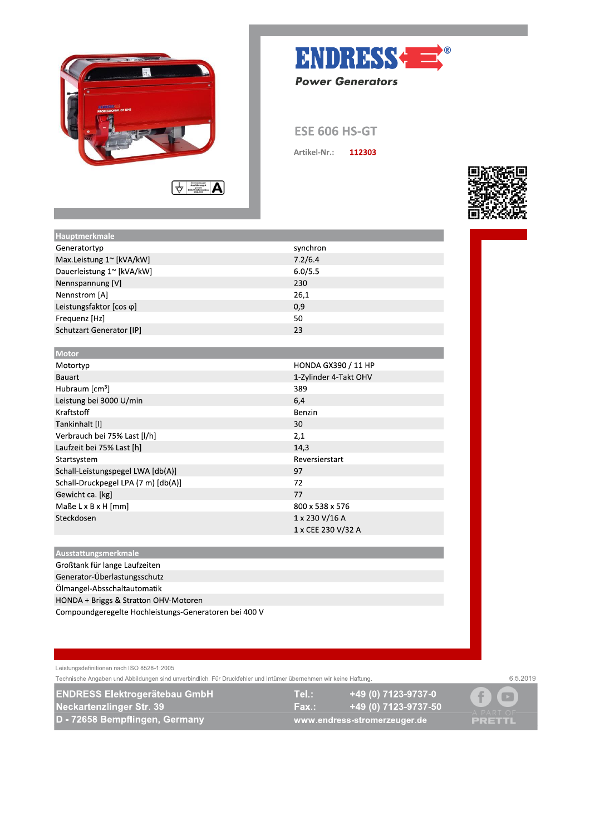



**ESE 606 HS-GT** 

Artikel-Nr.: 112303



| Hauptmerkmale                       |                            |
|-------------------------------------|----------------------------|
| Generatortyp                        | synchron                   |
| Max.Leistung 1~ [kVA/kW]            | 7.2/6.4                    |
| Dauerleistung 1~ [kVA/kW]           | 6.0/5.5                    |
| Nennspannung [V]                    | 230                        |
| Nennstrom [A]                       | 26,1                       |
| Leistungsfaktor [cos φ]             | 0,9                        |
| Frequenz [Hz]                       | 50                         |
| Schutzart Generator [IP]            | 23                         |
|                                     |                            |
| Motor                               |                            |
| Motortyp                            | <b>HONDA GX390 / 11 HP</b> |
| <b>Bauart</b>                       | 1-Zylinder 4-Takt OHV      |
| Hubraum $[cm3]$                     | 389                        |
| Leistung bei 3000 U/min             | 6,4                        |
| Kraftstoff                          | Benzin                     |
| Tankinhalt [I]                      | 30                         |
| Verbrauch bei 75% Last [I/h]        | 2,1                        |
| Laufzeit bei 75% Last [h]           | 14,3                       |
| Startsystem                         | Reversierstart             |
| Schall-Leistungspegel LWA [db(A)]   | 97                         |
| Schall-Druckpegel LPA (7 m) [db(A)] | 72                         |
| Gewicht ca. [kg]                    | 77                         |
| Maße $L \times B \times H$ [mm]     | 800 x 538 x 576            |
| Steckdosen                          | 1 x 230 V/16 A             |
|                                     | 1 x CEE 230 V/32 A         |
|                                     |                            |
| <b>State State</b>                  |                            |

Ausstattungsmerkmale Großtank für lange Laufzeiten Generator-Überlastungsschutz Ölmangel-Absschaltautomatik HONDA + Briggs & Stratton OHV-Motoren Compoundgeregelte Hochleistungs-Generatoren bei 400 V

Leistungsdefinitionen nach ISO 8528-1:2005 Technische Angaben und Abbildungen sind unverbindlich. Für Druckfehler und Irrtümer übernehmen wir keine Haftung.

**ENDRESS Elektrogerätebau GmbH** Neckartenzlinger Str. 39 D - 72658 Bempflingen, Germany

+49 (0) 7123-9737-0 Tel.:

+49 (0) 7123-9737-50 Fax.: www.endress-stromerzeuger.de

 $\blacksquare$ f **PRETTL** 

6.5.2019